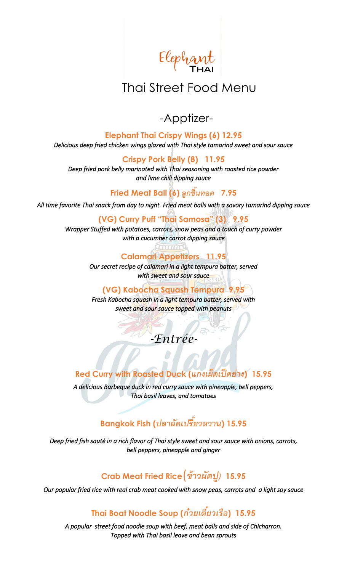Elephant

# Thai Street Food Menu

# -Apptizer-

**Elephant Thai Crispy Wings (6) 12.95** *Delicious deep fried chicken wings glazed with Thai style tamarind sweet and sour sauce* 

**Crispy Pork Belly (8) 11.95**

*Deep fried pork belly marinated with Thai seasoning with roasted rice powder and lime chili dipping sauce*

**Fried Meat Ball (6)** *ลูกชิ้นทอด* **7.95**

*All time favorite Thai snack from day to night. Fried meat balls with a savory tamarind dipping sauce* 

**(VG) Curry Puff "Thai Samosa" (3) 9.95**

*Wrapper Stuffed with potatoes, carrots, snow peas and a touch of curry powder with a cucumber carrot dipping sauce* 

**Calamari Appetizers 11.95**

*Our secret recipe of calamari in a light tempura batter, served with sweet and sour sauce* 

#### **(VG) Kabocha Squash Tempura 9.95**

*Fresh Kabocha squash in a light tempura batter, served with sweet and sour sauce topped with peanuts*

# *-Entrée-*

## **Red Curry with Roasted Duck (***แกงเผ็ดเป็ ดย่าง***) 15.95**

*A delicious Barbeque duck in red curry sauce with pineapple, bell peppers, Thai basil leaves, and tomatoes* 

# **Bangkok Fish (***ปลาผัดเปรีย้วหวาน***) 15.95**

*Deep fried fish sauté in a rich flavor of Thai style sweet and sour sauce with onions, carrots, bell peppers, pineapple and ginger*

# **Crab Meat Fried Rice**(*ข้าวผัดปู)* **15.95**

*Our popular fried rice with real crab meat cooked with snow peas, carrots and a light soy sauce* 

# **Thai Boat Noodle Soup (***ก๋วยเตี๋ยวเรือ***) 15.95**

*A popular street food noodle soup with beef, meat balls and side of Chicharron. Topped with Thai basil leave and bean sprouts*